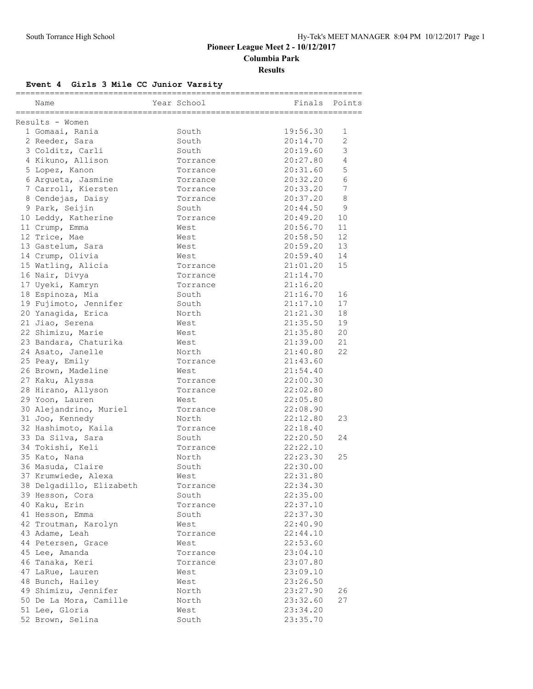## **Pioneer League Meet 2 - 10/12/2017 Columbia Park Results**

# **Event 4 Girls 3 Mile CC Junior Varsity**

| Name                     | Year School | ;===================<br>Finals | Points                |
|--------------------------|-------------|--------------------------------|-----------------------|
|                          |             |                                |                       |
| Results - Women          |             |                                |                       |
| 1 Gomaai, Rania          | South       | 19:56.30                       | 1                     |
| 2 Reeder, Sara           | South       | 20:14.70                       | $\mathbf{2}^{\prime}$ |
| 3 Colditz, Carli         | South       | 20:19.60                       | 3                     |
| 4 Kikuno, Allison        | Torrance    | 20:27.80                       | 4                     |
| 5 Lopez, Kanon           | Torrance    | 20:31.60                       | 5                     |
| 6 Argueta, Jasmine       | Torrance    | 20:32.20                       | 6                     |
| 7 Carroll, Kiersten      | Torrance    | 20:33.20                       | 7                     |
| 8 Cendejas, Daisy        | Torrance    | 20:37.20                       | 8                     |
| 9 Park, Seijin           | South       | 20:44.50                       | 9                     |
| 10 Leddy, Katherine      | Torrance    | 20:49.20                       | 10                    |
| 11 Crump, Emma           | West        | 20:56.70                       | 11                    |
| 12 Trice, Mae            | West        | 20:58.50                       | 12                    |
| 13 Gastelum, Sara        | West        | 20:59.20                       | 13                    |
| 14 Crump, Olivia         | West        | 20:59.40                       | 14                    |
| 15 Watling, Alicia       | Torrance    | 21:01.20                       | 15                    |
| 16 Nair, Divya           | Torrance    | 21:14.70                       |                       |
| 17 Uyeki, Kamryn         | Torrance    | 21:16.20                       |                       |
| 18 Espinoza, Mia         | South       | 21:16.70                       | 16                    |
| 19 Fujimoto, Jennifer    | South       | 21:17.10                       | 17                    |
| 20 Yanaqida, Erica       | North       | 21:21.30                       | 18                    |
| 21 Jiao, Serena          | West        | 21:35.50                       | 19                    |
| 22 Shimizu, Marie        | West        | 21:35.80                       | 20                    |
| 23 Bandara, Chaturika    | West        | 21:39.00                       | 21                    |
| 24 Asato, Janelle        | North       | 21:40.80                       | 22                    |
| 25 Peay, Emily           | Torrance    | 21:43.60                       |                       |
| 26 Brown, Madeline       | West        | 21:54.40                       |                       |
| 27 Kaku, Alyssa          | Torrance    | 22:00.30                       |                       |
| 28 Hirano, Allyson       | Torrance    | 22:02.80                       |                       |
| 29 Yoon, Lauren          | West        | 22:05.80                       |                       |
| 30 Alejandrino, Muriel   | Torrance    | 22:08.90                       |                       |
| 31 Joo, Kennedy          | North       | 22:12.80                       | 23                    |
| 32 Hashimoto, Kaila      | Torrance    | 22:18.40                       |                       |
| 33 Da Silva, Sara        | South       | 22:20.50                       | 24                    |
| 34 Tokishi, Keli         | Torrance    | 22:22.10                       |                       |
| 35 Kato, Nana            | North       | 22:23.30                       | 25                    |
| 36 Masuda, Claire        | South       | 22:30.00                       |                       |
| 37 Krumwiede, Alexa      | West        | 22:31.80                       |                       |
| 38 Delgadillo, Elizabeth | Torrance    | 22:34.30                       |                       |
| 39 Hesson, Cora          | South       | 22:35.00                       |                       |
| 40 Kaku, Erin            | Torrance    | 22:37.10                       |                       |
| 41 Hesson, Emma          | South       | 22:37.30                       |                       |
| 42 Troutman, Karolyn     | West        | 22:40.90                       |                       |
| 43 Adame, Leah           | Torrance    | 22:44.10                       |                       |
| 44 Petersen, Grace       | West        | 22:53.60                       |                       |
| 45 Lee, Amanda           | Torrance    | 23:04.10                       |                       |
| 46 Tanaka, Keri          | Torrance    | 23:07.80                       |                       |
| 47 LaRue, Lauren         | West        | 23:09.10                       |                       |
| 48 Bunch, Hailey         | West        | 23:26.50                       |                       |
| 49 Shimizu, Jennifer     | North       | 23:27.90                       | 26                    |
| 50 De La Mora, Camille   | North       | 23:32.60                       | 27                    |
| 51 Lee, Gloria           | West        | 23:34.20                       |                       |
| 52 Brown, Selina         | South       | 23:35.70                       |                       |
|                          |             |                                |                       |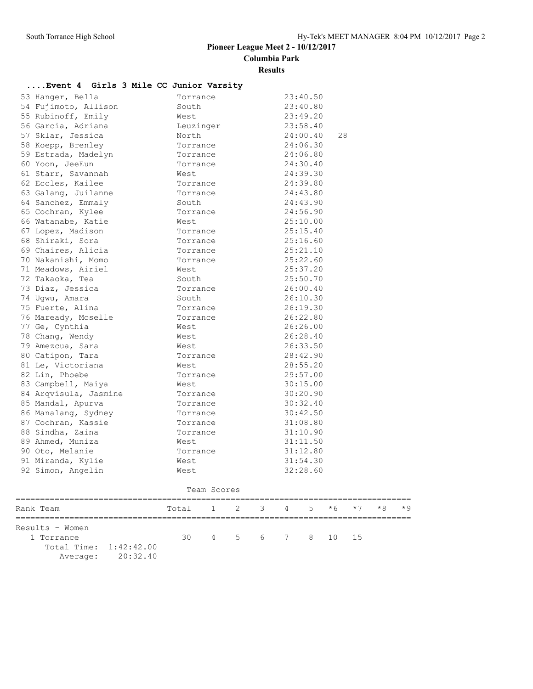## **Pioneer League Meet 2 - 10/12/2017**

**Columbia Park**

### **Results**

## **....Event 4 Girls 3 Mile CC Junior Varsity**

| 53 Hanger, Bella      | Torrance  | 23:40.50       |
|-----------------------|-----------|----------------|
| 54 Fujimoto, Allison  | South     | 23:40.80       |
| 55 Rubinoff, Emily    | West      | 23:49.20       |
| 56 Garcia, Adriana    | Leuzinger | 23:58.40       |
| 57 Sklar, Jessica     | North     | 24:00.40<br>28 |
| 58 Koepp, Brenley     | Torrance  | 24:06.30       |
| 59 Estrada, Madelyn   | Torrance  | 24:06.80       |
| 60 Yoon, JeeEun       | Torrance  | 24:30.40       |
| 61 Starr, Savannah    | West      | 24:39.30       |
| 62 Eccles, Kailee     | Torrance  | 24:39.80       |
| 63 Galang, Juilanne   | Torrance  | 24:43.80       |
| 64 Sanchez, Emmaly    | South     | 24:43.90       |
| 65 Cochran, Kylee     | Torrance  | 24:56.90       |
| 66 Watanabe, Katie    | West      | 25:10.00       |
| 67 Lopez, Madison     | Torrance  | 25:15.40       |
| 68 Shiraki, Sora      | Torrance  | 25:16.60       |
| 69 Chaires, Alicia    | Torrance  | 25:21.10       |
| 70 Nakanishi, Momo    | Torrance  | 25:22.60       |
| 71 Meadows, Airiel    | West      | 25:37.20       |
| 72 Takaoka, Tea       | South     | 25:50.70       |
| 73 Diaz, Jessica      | Torrance  | 26:00.40       |
| 74 Ugwu, Amara        | South     | 26:10.30       |
| 75 Fuerte, Alina      | Torrance  | 26:19.30       |
| 76 Maready, Moselle   | Torrance  | 26:22.80       |
| 77 Ge, Cynthia        | West      | 26:26.00       |
| 78 Chang, Wendy       | West      | 26:28.40       |
| 79 Amezcua, Sara      | West      | 26:33.50       |
| 80 Catipon, Tara      | Torrance  | 28:42.90       |
| 81 Le, Victoriana     | West      | 28:55.20       |
| 82 Lin, Phoebe        | Torrance  | 29:57.00       |
| 83 Campbell, Maiya    | West      | 30:15.00       |
| 84 Arqvisula, Jasmine | Torrance  | 30:20.90       |
| 85 Mandal, Apurva     | Torrance  | 30:32.40       |
| 86 Manalang, Sydney   | Torrance  | 30:42.50       |
| 87 Cochran, Kassie    | Torrance  | 31:08.80       |
| 88 Sindha, Zaina      | Torrance  | 31:10.90       |
| 89 Ahmed, Muniza      | West      | 31:11.50       |
| 90 Oto, Melanie       | Torrance  | 31:12.80       |
| 91 Miranda, Kylie     | West      | 31:54.30       |
| 92 Simon, Angelin     | West      | 32:28.60       |
|                       |           |                |

| Team Scores                   |                   |                                     |  |  |  |                    |  |  |  |  |  |
|-------------------------------|-------------------|-------------------------------------|--|--|--|--------------------|--|--|--|--|--|
| Rank Team                     |                   | Total 1 2 3 4 5 $*6$ $*7$ $*8$ $*9$ |  |  |  |                    |  |  |  |  |  |
| Results - Women<br>1 Torrance |                   |                                     |  |  |  | 30 4 5 6 7 8 10 15 |  |  |  |  |  |
| Total Time: 1:42:42.00        | Average: 20:32.40 |                                     |  |  |  |                    |  |  |  |  |  |